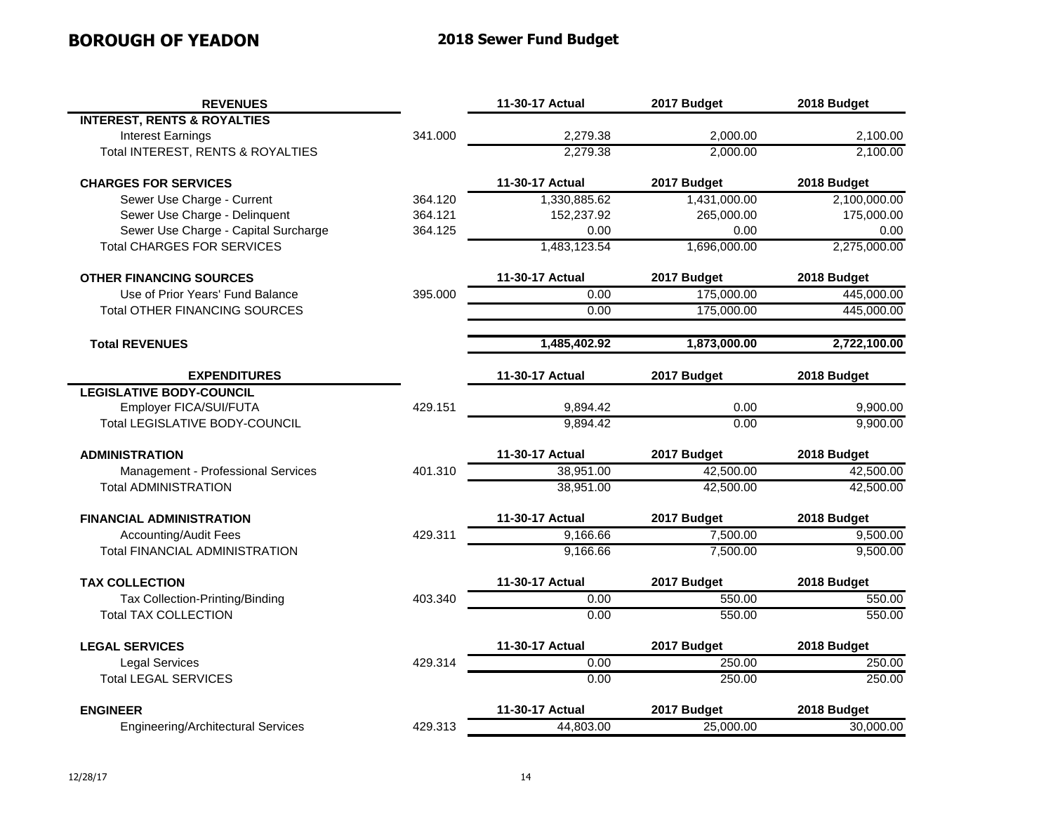## **BOROUGH OF YEADON 2018 Sewer Fund Budget**

| <b>REVENUES</b>                           |         | 11-30-17 Actual | 2017 Budget  | 2018 Budget  |
|-------------------------------------------|---------|-----------------|--------------|--------------|
| <b>INTEREST, RENTS &amp; ROYALTIES</b>    |         |                 |              |              |
| <b>Interest Earnings</b>                  | 341.000 | 2,279.38        | 2,000.00     | 2,100.00     |
| Total INTEREST, RENTS & ROYALTIES         |         | 2,279.38        | 2,000.00     | 2,100.00     |
| <b>CHARGES FOR SERVICES</b>               |         | 11-30-17 Actual | 2017 Budget  | 2018 Budget  |
| Sewer Use Charge - Current                | 364.120 | 1,330,885.62    | 1,431,000.00 | 2,100,000.00 |
| Sewer Use Charge - Delinquent             | 364.121 | 152,237.92      | 265,000.00   | 175,000.00   |
| Sewer Use Charge - Capital Surcharge      | 364.125 | 0.00            | 0.00         | 0.00         |
| <b>Total CHARGES FOR SERVICES</b>         |         | 1,483,123.54    | 1,696,000.00 | 2,275,000.00 |
| <b>OTHER FINANCING SOURCES</b>            |         | 11-30-17 Actual | 2017 Budget  | 2018 Budget  |
| Use of Prior Years' Fund Balance          | 395.000 | 0.00            | 175,000.00   | 445,000.00   |
| <b>Total OTHER FINANCING SOURCES</b>      |         | 0.00            | 175,000.00   | 445,000.00   |
| <b>Total REVENUES</b>                     |         | 1,485,402.92    | 1,873,000.00 | 2,722,100.00 |
| <b>EXPENDITURES</b>                       |         | 11-30-17 Actual | 2017 Budget  | 2018 Budget  |
| <b>LEGISLATIVE BODY-COUNCIL</b>           |         |                 |              |              |
| Employer FICA/SUI/FUTA                    | 429.151 | 9,894.42        | 0.00         | 9,900.00     |
| <b>Total LEGISLATIVE BODY-COUNCIL</b>     |         | 9,894.42        | 0.00         | 9,900.00     |
| <b>ADMINISTRATION</b>                     |         | 11-30-17 Actual | 2017 Budget  | 2018 Budget  |
| Management - Professional Services        | 401.310 | 38,951.00       | 42,500.00    | 42,500.00    |
| <b>Total ADMINISTRATION</b>               |         | 38,951.00       | 42,500.00    | 42,500.00    |
| <b>FINANCIAL ADMINISTRATION</b>           |         | 11-30-17 Actual | 2017 Budget  | 2018 Budget  |
| <b>Accounting/Audit Fees</b>              | 429.311 | 9,166.66        | 7,500.00     | 9,500.00     |
| Total FINANCIAL ADMINISTRATION            |         | 9,166.66        | 7,500.00     | 9,500.00     |
| <b>TAX COLLECTION</b>                     |         | 11-30-17 Actual | 2017 Budget  | 2018 Budget  |
| Tax Collection-Printing/Binding           | 403.340 | 0.00            | 550.00       | 550.00       |
| <b>Total TAX COLLECTION</b>               |         | 0.00            | 550.00       | 550.00       |
| <b>LEGAL SERVICES</b>                     |         | 11-30-17 Actual | 2017 Budget  | 2018 Budget  |
| <b>Legal Services</b>                     | 429.314 | 0.00            | 250.00       | 250.00       |
| <b>Total LEGAL SERVICES</b>               |         | 0.00            | 250.00       | 250.00       |
| <b>ENGINEER</b>                           |         | 11-30-17 Actual | 2017 Budget  | 2018 Budget  |
| <b>Engineering/Architectural Services</b> | 429.313 | 44,803.00       | 25,000.00    | 30,000.00    |